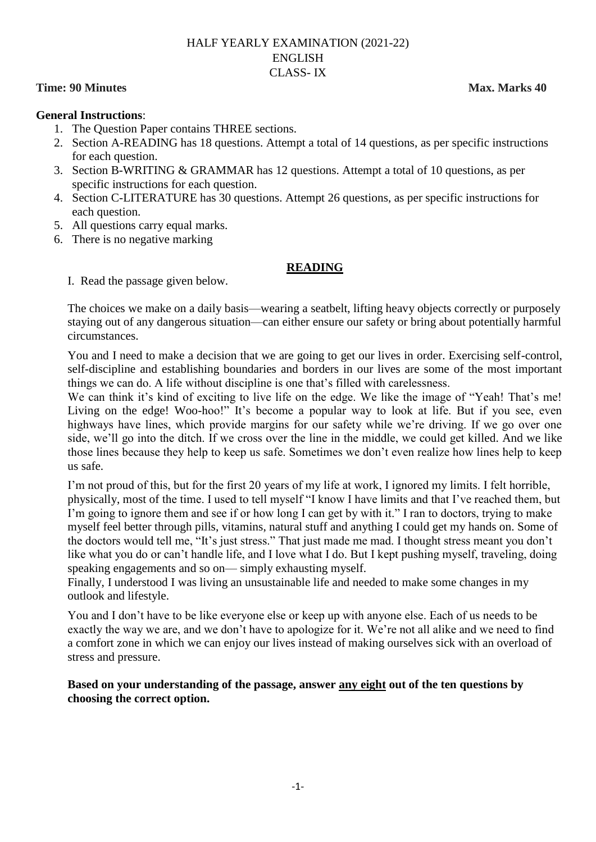## HALF YEARLY EXAMINATION (2021-22) ENGLISH CLASS- IX

#### **Time: 90 Minutes Max. Marks 40**

#### **General Instructions**:

- 1. The Question Paper contains THREE sections.
- 2. Section A-READING has 18 questions. Attempt a total of 14 questions, as per specific instructions for each question.
- 3. Section B-WRITING & GRAMMAR has 12 questions. Attempt a total of 10 questions, as per specific instructions for each question.
- 4. Section C-LITERATURE has 30 questions. Attempt 26 questions, as per specific instructions for each question.
- 5. All questions carry equal marks.
- 6. There is no negative marking

## **READING**

I. Read the passage given below.

The choices we make on a daily basis—wearing a seatbelt, lifting heavy objects correctly or purposely staying out of any dangerous situation—can either ensure our safety or bring about potentially harmful circumstances.

You and I need to make a decision that we are going to get our lives in order. Exercising self-control, self-discipline and establishing boundaries and borders in our lives are some of the most important things we can do. A life without discipline is one that's filled with carelessness.

We can think it's kind of exciting to live life on the edge. We like the image of "Yeah! That's me! Living on the edge! Woo-hoo!" It's become a popular way to look at life. But if you see, even highways have lines, which provide margins for our safety while we're driving. If we go over one side, we"ll go into the ditch. If we cross over the line in the middle, we could get killed. And we like those lines because they help to keep us safe. Sometimes we don"t even realize how lines help to keep us safe.

I"m not proud of this, but for the first 20 years of my life at work, I ignored my limits. I felt horrible, physically, most of the time. I used to tell myself "I know I have limits and that I"ve reached them, but I'm going to ignore them and see if or how long I can get by with it." I ran to doctors, trying to make myself feel better through pills, vitamins, natural stuff and anything I could get my hands on. Some of the doctors would tell me, "It"s just stress." That just made me mad. I thought stress meant you don"t like what you do or can"t handle life, and I love what I do. But I kept pushing myself, traveling, doing speaking engagements and so on— simply exhausting myself.

Finally, I understood I was living an unsustainable life and needed to make some changes in my outlook and lifestyle.

You and I don"t have to be like everyone else or keep up with anyone else. Each of us needs to be exactly the way we are, and we don"t have to apologize for it. We"re not all alike and we need to find a comfort zone in which we can enjoy our lives instead of making ourselves sick with an overload of stress and pressure.

## **Based on your understanding of the passage, answer any eight out of the ten questions by choosing the correct option.**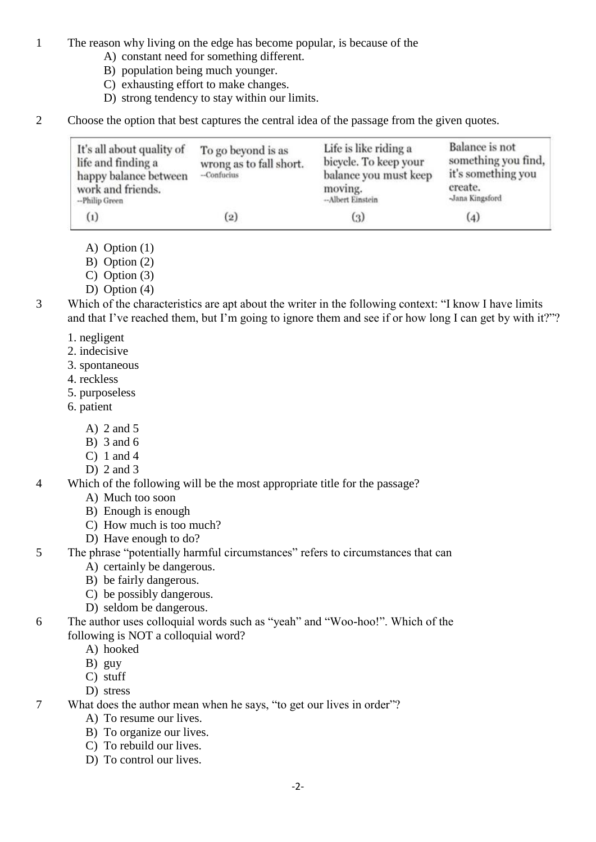1 The reason why living on the edge has become popular, is because of the

- A) constant need for something different.
- B) population being much younger.
- C) exhausting effort to make changes.
- D) strong tendency to stay within our limits.
- 2 Choose the option that best captures the central idea of the passage from the given quotes.

| It's all about quality of<br>life and finding a<br>happy balance between<br>work and friends.<br>--Philip Green | To go beyond is as<br>wrong as to fall short.<br>-Confucius | Life is like riding a<br>bicycle. To keep your<br>balance you must keep<br>moving.<br>--Albert Einstein | Balance is not<br>something you find,<br>it's something you<br>create.<br>-Jana Kingsford |
|-----------------------------------------------------------------------------------------------------------------|-------------------------------------------------------------|---------------------------------------------------------------------------------------------------------|-------------------------------------------------------------------------------------------|
| $_{(1)}$                                                                                                        | (2)                                                         | $\left( 3 \right)$                                                                                      | (4)                                                                                       |

A) Option (1)

- B) Option (2)
- C) Option (3)
- D) Option (4)
- 3 Which of the characteristics are apt about the writer in the following context: "I know I have limits and that I've reached them, but I'm going to ignore them and see if or how long I can get by with it?"?
	- 1. negligent
	- 2. indecisive
	- 3. spontaneous
	- 4. reckless
	- 5. purposeless
	- 6. patient
		- A) 2 and 5
		- B) 3 and 6
		- C) 1 and 4
		- D)  $2$  and  $3$
- 4 Which of the following will be the most appropriate title for the passage?
	- A) Much too soon
	- B) Enough is enough
	- C) How much is too much?
	- D) Have enough to do?
- 5 The phrase "potentially harmful circumstances" refers to circumstances that can
	- A) certainly be dangerous.
	- B) be fairly dangerous.
	- C) be possibly dangerous.
	- D) seldom be dangerous.
- 6 The author uses colloquial words such as "yeah" and "Woo-hoo!". Which of the following is NOT a colloquial word?
	- A) hooked
	- B) guy
	- C) stuff
	- D) stress

7 What does the author mean when he says, "to get our lives in order"?

- A) To resume our lives.
- B) To organize our lives.
- C) To rebuild our lives.
- D) To control our lives.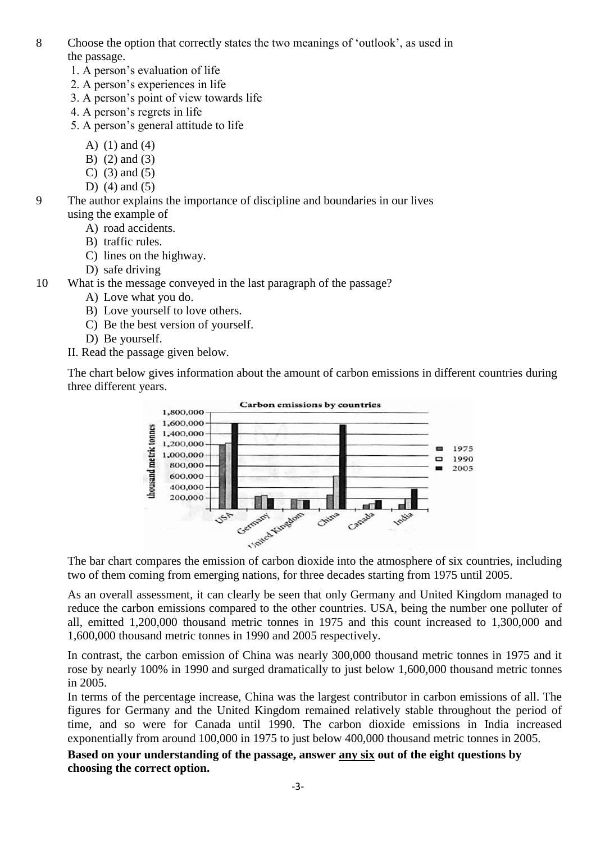- 8 Choose the option that correctly states the two meanings of "outlook", as used in the passage.
	- 1. A person"s evaluation of life
	- 2. A person"s experiences in life
	- 3. A person"s point of view towards life
	- 4. A person"s regrets in life
	- 5. A person"s general attitude to life
		- A) (1) and (4)
		- B) (2) and (3)
		- C) (3) and (5)
		- D)  $(4)$  and  $(5)$
- 9 The author explains the importance of discipline and boundaries in our lives using the example of
	- A) road accidents.
	- B) traffic rules.
	- C) lines on the highway.
	- D) safe driving
- 10 What is the message conveyed in the last paragraph of the passage?
	- A) Love what you do.
	- B) Love yourself to love others.
	- C) Be the best version of yourself.
	- D) Be yourself.
	- II. Read the passage given below.

The chart below gives information about the amount of carbon emissions in different countries during three different years.



two of them coming from emerging nations, for three decades starting from 1975 until 2005.

As an overall assessment, it can clearly be seen that only Germany and United Kingdom managed to reduce the carbon emissions compared to the other countries. USA, being the number one polluter of all, emitted 1,200,000 thousand metric tonnes in 1975 and this count increased to 1,300,000 and 1,600,000 thousand metric tonnes in 1990 and 2005 respectively.

In contrast, the carbon emission of China was nearly 300,000 thousand metric tonnes in 1975 and it rose by nearly 100% in 1990 and surged dramatically to just below 1,600,000 thousand metric tonnes in 2005.

In terms of the percentage increase, China was the largest contributor in carbon emissions of all. The figures for Germany and the United Kingdom remained relatively stable throughout the period of time, and so were for Canada until 1990. The carbon dioxide emissions in India increased exponentially from around 100,000 in 1975 to just below 400,000 thousand metric tonnes in 2005.

## **Based on your understanding of the passage, answer any six out of the eight questions by choosing the correct option.**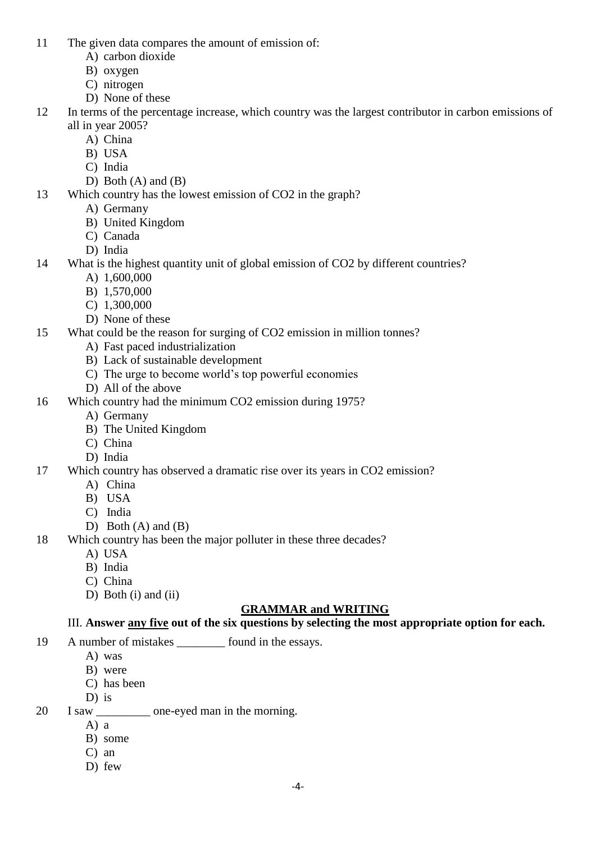- 11 The given data compares the amount of emission of:
	- A) carbon dioxide
	- B) oxygen
	- C) nitrogen
	- D) None of these
- 12 In terms of the percentage increase, which country was the largest contributor in carbon emissions of all in year 2005?
	- A) China
	- B) USA
	- C) India
	- D) Both  $(A)$  and  $(B)$
- 13 Which country has the lowest emission of CO2 in the graph?
	- A) Germany
	- B) United Kingdom
	- C) Canada
	- D) India
- 14 What is the highest quantity unit of global emission of CO2 by different countries?
	- A) 1,600,000
	- B) 1,570,000
	- C) 1,300,000
	- D) None of these
- 15 What could be the reason for surging of CO2 emission in million tonnes?
	- A) Fast paced industrialization
	- B) Lack of sustainable development
	- C) The urge to become world"s top powerful economies
	- D) All of the above
- 16 Which country had the minimum CO2 emission during 1975?
	- A) Germany
		- B) The United Kingdom
		- C) China
		- D) India
- 17 Which country has observed a dramatic rise over its years in CO2 emission?
	- A) China
	- B) USA
	- C) India
	- D) Both  $(A)$  and  $(B)$
- 18 Which country has been the major polluter in these three decades?
	- A) USA
	- B) India
	- C) China
	- D) Both (i) and (ii)

# **GRAMMAR and WRITING**

# III. **Answer any five out of the six questions by selecting the most appropriate option for each.**

- 19 A number of mistakes \_\_\_\_\_\_\_\_ found in the essays.
	- A) was
	- B) were
	- C) has been
	- D) is
- 20 I saw \_\_\_\_\_\_\_\_\_ one-eyed man in the morning.
	- A) a
	- B) some
	- C) an
	- D) few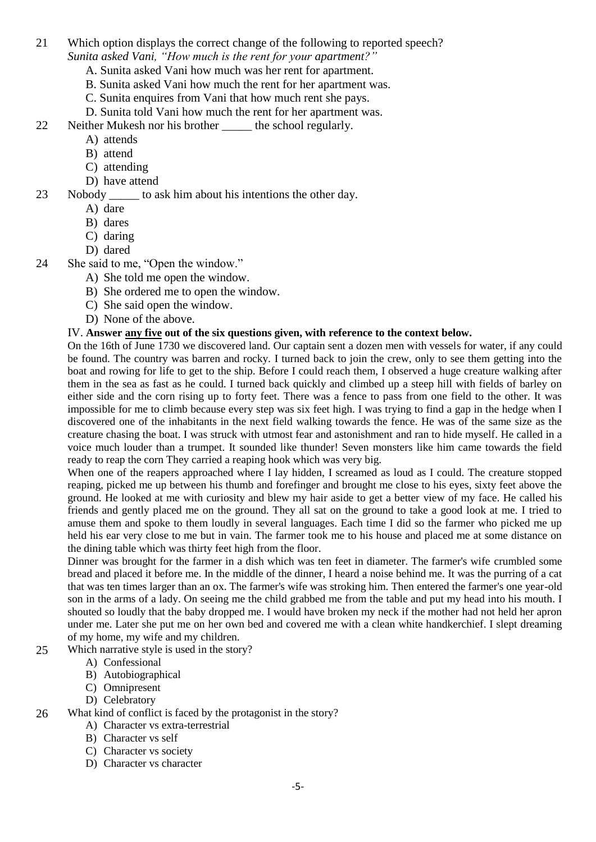- 21 Which option displays the correct change of the following to reported speech? *Sunita asked Vani, "How much is the rent for your apartment?"*
	- A. Sunita asked Vani how much was her rent for apartment.
	- B. Sunita asked Vani how much the rent for her apartment was.
	- C. Sunita enquires from Vani that how much rent she pays.
	- D. Sunita told Vani how much the rent for her apartment was.
- 22 Neither Mukesh nor his brother the school regularly.
	- A) attends
	- B) attend
	- C) attending
	- D) have attend
- 23 Nobody \_\_\_\_\_ to ask him about his intentions the other day.
	- A) dare
	- B) dares
	- C) daring
	- D) dared
- 24 She said to me, "Open the window."
	- A) She told me open the window.
	- B) She ordered me to open the window.
	- C) She said open the window.
	- D) None of the above.

## IV. **Answer any five out of the six questions given, with reference to the context below.**

On the 16th of June 1730 we discovered land. Our captain sent a dozen men with vessels for water, if any could be found. The country was barren and rocky. I turned back to join the crew, only to see them getting into the boat and rowing for life to get to the ship. Before I could reach them, I observed a huge creature walking after them in the sea as fast as he could. I turned back quickly and climbed up a steep hill with fields of barley on either side and the corn rising up to forty feet. There was a fence to pass from one field to the other. It was impossible for me to climb because every step was six feet high. I was trying to find a gap in the hedge when I discovered one of the inhabitants in the next field walking towards the fence. He was of the same size as the creature chasing the boat. I was struck with utmost fear and astonishment and ran to hide myself. He called in a voice much louder than a trumpet. It sounded like thunder! Seven monsters like him came towards the field ready to reap the corn They carried a reaping hook which was very big.

When one of the reapers approached where I lay hidden, I screamed as loud as I could. The creature stopped reaping, picked me up between his thumb and forefinger and brought me close to his eyes, sixty feet above the ground. He looked at me with curiosity and blew my hair aside to get a better view of my face. He called his friends and gently placed me on the ground. They all sat on the ground to take a good look at me. I tried to amuse them and spoke to them loudly in several languages. Each time I did so the farmer who picked me up held his ear very close to me but in vain. The farmer took me to his house and placed me at some distance on the dining table which was thirty feet high from the floor.

Dinner was brought for the farmer in a dish which was ten feet in diameter. The farmer's wife crumbled some bread and placed it before me. In the middle of the dinner, I heard a noise behind me. It was the purring of a cat that was ten times larger than an ox. The farmer's wife was stroking him. Then entered the farmer's one year-old son in the arms of a lady. On seeing me the child grabbed me from the table and put my head into his mouth. I shouted so loudly that the baby dropped me. I would have broken my neck if the mother had not held her apron under me. Later she put me on her own bed and covered me with a clean white handkerchief. I slept dreaming of my home, my wife and my children.

- 25 Which narrative style is used in the story?
	- A) Confessional
	- B) Autobiographical
	- C) Omnipresent
	- D) Celebratory

## 26 What kind of conflict is faced by the protagonist in the story?

- A) Character vs extra-terrestrial
- B) Character vs self
- C) Character vs society
- D) Character vs character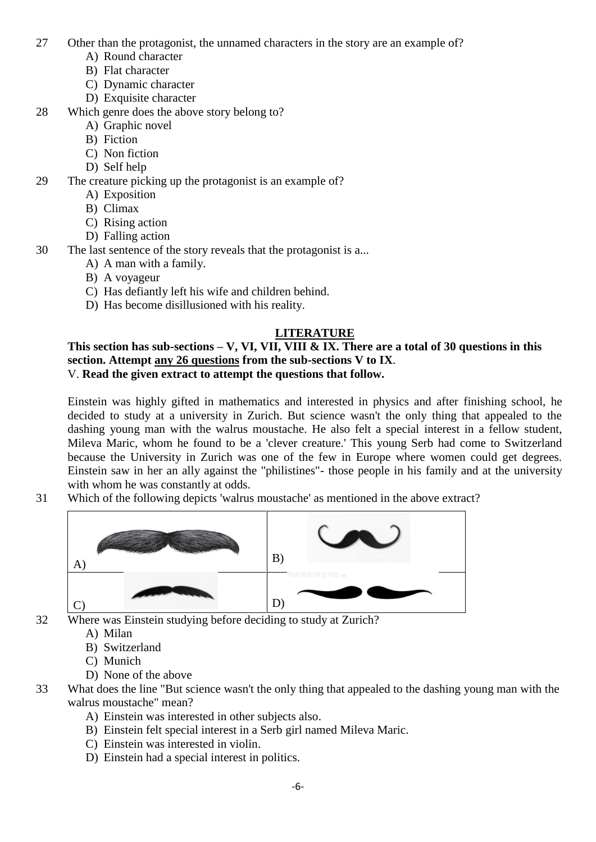- 27 Other than the protagonist, the unnamed characters in the story are an example of?
	- A) Round character
	- B) Flat character
	- C) Dynamic character
	- D) Exquisite character
- 28 Which genre does the above story belong to?
	- A) Graphic novel
	- B) Fiction
	- C) Non fiction
	- D) Self help
- 29 The creature picking up the protagonist is an example of?
	- A) Exposition
	- B) Climax
	- C) Rising action
	- D) Falling action
- 30 The last sentence of the story reveals that the protagonist is a...
	- A) A man with a family.
	- B) A voyageur
	- C) Has defiantly left his wife and children behind.
	- D) Has become disillusioned with his reality.

# **LITERATURE**

## **This section has sub-sections – V, VI, VII, VIII & IX. There are a total of 30 questions in this section. Attempt any 26 questions from the sub-sections V to IX**. V. **Read the given extract to attempt the questions that follow.**

Einstein was highly gifted in mathematics and interested in physics and after finishing school, he decided to study at a university in Zurich. But science wasn't the only thing that appealed to the dashing young man with the walrus moustache. He also felt a special interest in a fellow student, Mileva Maric, whom he found to be a 'clever creature.' This young Serb had come to Switzerland because the University in Zurich was one of the few in Europe where women could get degrees. Einstein saw in her an ally against the "philistines"- those people in his family and at the university with whom he was constantly at odds.

31 Which of the following depicts 'walrus moustache' as mentioned in the above extract?



32 Where was Einstein studying before deciding to study at Zurich?

- A) Milan
- B) Switzerland
- C) Munich
- D) None of the above
- 33 What does the line "But science wasn't the only thing that appealed to the dashing young man with the walrus moustache" mean?
	- A) Einstein was interested in other subjects also.
	- B) Einstein felt special interest in a Serb girl named Mileva Maric.
	- C) Einstein was interested in violin.
	- D) Einstein had a special interest in politics.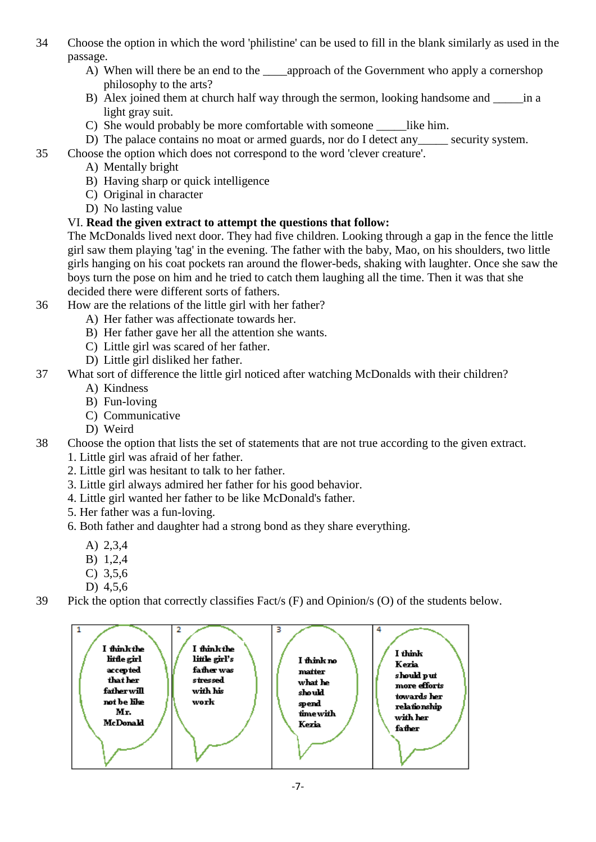- 34 Choose the option in which the word 'philistine' can be used to fill in the blank similarly as used in the passage.
	- A) When will there be an end to the \_\_\_\_\_\_approach of the Government who apply a cornershop philosophy to the arts?
	- B) Alex joined them at church half way through the sermon, looking handsome and  $\frac{1}{2}$  in a light gray suit.
	- C) She would probably be more comfortable with some one like him.
	- D) The palace contains no moat or armed guards, nor do I detect any security system.
- 35 Choose the option which does not correspond to the word 'clever creature'.
	- A) Mentally bright
	- B) Having sharp or quick intelligence
	- C) Original in character
	- D) No lasting value

# VI. **Read the given extract to attempt the questions that follow:**

The McDonalds lived next door. They had five children. Looking through a gap in the fence the little girl saw them playing 'tag' in the evening. The father with the baby, Mao, on his shoulders, two little girls hanging on his coat pockets ran around the flower-beds, shaking with laughter. Once she saw the boys turn the pose on him and he tried to catch them laughing all the time. Then it was that she decided there were different sorts of fathers.

- 36 How are the relations of the little girl with her father?
	- A) Her father was affectionate towards her.
	- B) Her father gave her all the attention she wants.
	- C) Little girl was scared of her father.
	- D) Little girl disliked her father.
- 37 What sort of difference the little girl noticed after watching McDonalds with their children?
	- A) Kindness
	- B) Fun-loving
	- C) Communicative
	- D) Weird
- 38 Choose the option that lists the set of statements that are not true according to the given extract.
	- 1. Little girl was afraid of her father.
	- 2. Little girl was hesitant to talk to her father.
	- 3. Little girl always admired her father for his good behavior.
	- 4. Little girl wanted her father to be like McDonald's father.
	- 5. Her father was a fun-loving.
	- 6. Both father and daughter had a strong bond as they share everything.
		- A) 2,3,4
		- B) 1,2,4
		- C) 3,5,6
		- D) 4,5,6
- 39 Pick the option that correctly classifies Fact/s (F) and Opinion/s (O) of the students below.

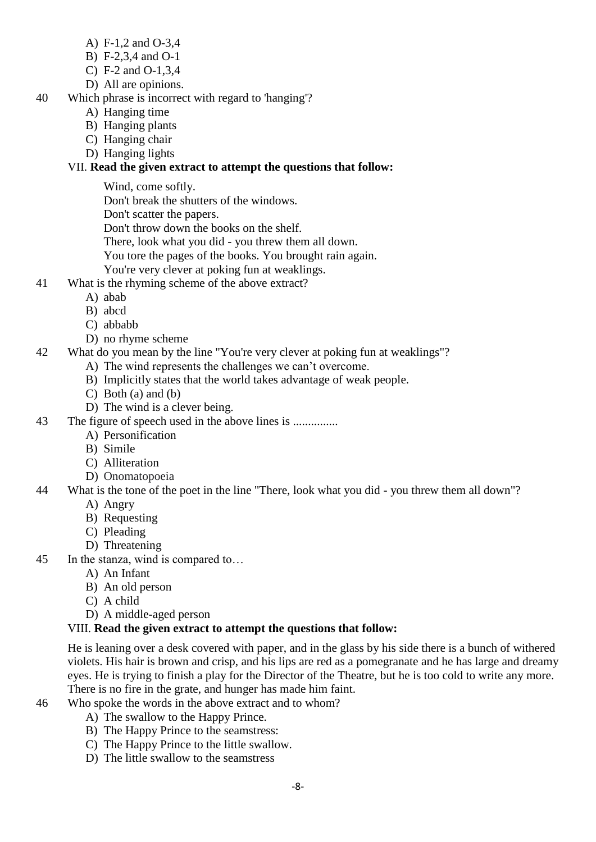- A) F-1,2 and O-3,4
- B) F-2,3,4 and O-1
- C) F-2 and O-1,3,4
- D) All are opinions.
- 40 Which phrase is incorrect with regard to 'hanging'?
	- A) Hanging time
	- B) Hanging plants
	- C) Hanging chair
	- D) Hanging lights

# VII. **Read the given extract to attempt the questions that follow:**

Wind, come softly.

Don't break the shutters of the windows.

Don't scatter the papers.

Don't throw down the books on the shelf.

There, look what you did - you threw them all down.

You tore the pages of the books. You brought rain again.

- You're very clever at poking fun at weaklings.
- 41 What is the rhyming scheme of the above extract?
	- A) abab
	- B) abcd
	- C) abbabb
	- D) no rhyme scheme
- 42 What do you mean by the line "You're very clever at poking fun at weaklings"?
	- A) The wind represents the challenges we can"t overcome.
	- B) Implicitly states that the world takes advantage of weak people.
	- C) Both (a) and (b)
	- D) The wind is a clever being.

43 The figure of speech used in the above lines is ...............

- A) Personification
- B) Simile
- C) Alliteration
- D) Onomatopoeia
- 44 What is the tone of the poet in the line "There, look what you did you threw them all down"?
	- A) Angry
	- B) Requesting
	- C) Pleading
	- D) Threatening
- 45 In the stanza, wind is compared to…
	- A) An Infant
	- B) An old person
	- C) A child
	- D) A middle-aged person

# VIII. **Read the given extract to attempt the questions that follow:**

He is leaning over a desk covered with paper, and in the glass by his side there is a bunch of withered violets. His hair is brown and crisp, and his lips are red as a pomegranate and he has large and dreamy eyes. He is trying to finish a play for the Director of the Theatre, but he is too cold to write any more. There is no fire in the grate, and hunger has made him faint.

- 
- 46 Who spoke the words in the above extract and to whom?
	- A) The swallow to the Happy Prince.
	- B) The Happy Prince to the seamstress:
	- C) The Happy Prince to the little swallow.
	- D) The little swallow to the seamstress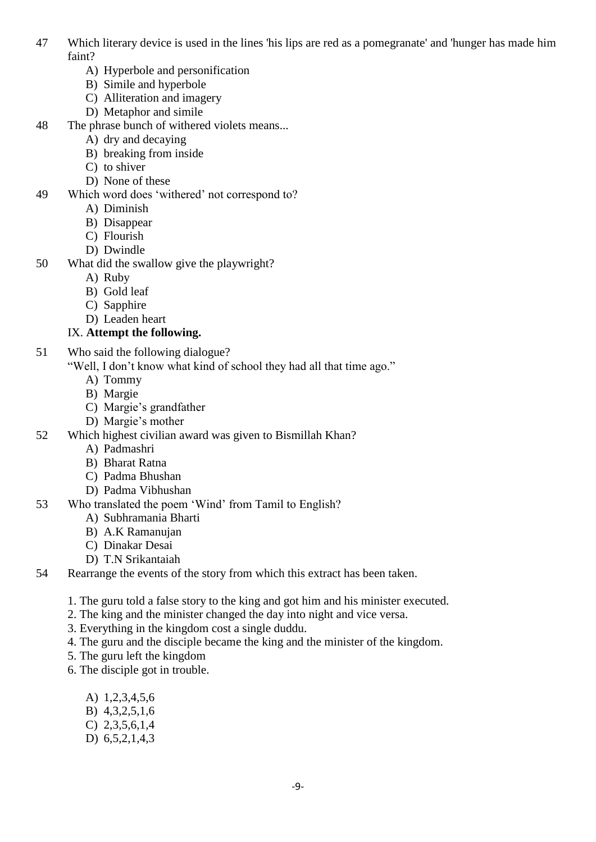- 47 Which literary device is used in the lines 'his lips are red as a pomegranate' and 'hunger has made him faint?
	- A) Hyperbole and personification
	- B) Simile and hyperbole
	- C) Alliteration and imagery
	- D) Metaphor and simile
- 48 The phrase bunch of withered violets means...
	- A) dry and decaying
	- B) breaking from inside
	- C) to shiver
	- D) None of these
- 49 Which word does "withered" not correspond to?
	- A) Diminish
	- B) Disappear
	- C) Flourish
	- D) Dwindle
- 50 What did the swallow give the playwright?
	- A) Ruby
	- B) Gold leaf
	- C) Sapphire
	- D) Leaden heart

## IX. **Attempt the following.**

- 51 Who said the following dialogue?
	- "Well, I don"t know what kind of school they had all that time ago."
		- A) Tommy
		- B) Margie
		- C) Margie"s grandfather
		- D) Margie's mother
- 52 Which highest civilian award was given to Bismillah Khan?
	- A) Padmashri
		- B) Bharat Ratna
		- C) Padma Bhushan
	- D) Padma Vibhushan
- 53 Who translated the poem "Wind" from Tamil to English?
	- A) Subhramania Bharti
	- B) A.K Ramanujan
	- C) Dinakar Desai
	- D) T.N Srikantaiah
- 54 Rearrange the events of the story from which this extract has been taken.
	- 1. The guru told a false story to the king and got him and his minister executed.
	- 2. The king and the minister changed the day into night and vice versa.
	- 3. Everything in the kingdom cost a single duddu.
	- 4. The guru and the disciple became the king and the minister of the kingdom.
	- 5. The guru left the kingdom
	- 6. The disciple got in trouble.
		- A) 1,2,3,4,5,6
		- B) 4,3,2,5,1,6
		- C) 2,3,5,6,1,4
		- D) 6,5,2,1,4,3